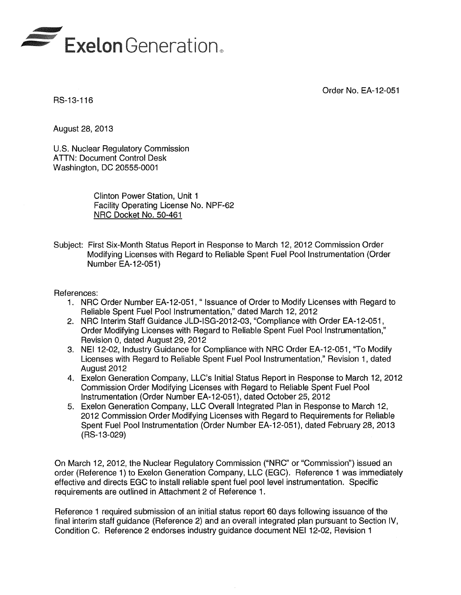

Order No. EA-12-051

RS-13-116

August 28, 2013

U.S. Nuclear Regulatory Commission ATTN: Document Control Desk Washington, DC 20555-0001

> Clinton Power Station, Unit 1 Facility Operating License No. NPF-62 NRC Docket No. 50-461

Subject: First Six-Month Status Report in Response to March 12, 2012 Commission Order Modifying Licenses with Regard to Reliable Spent Fuel Pool Instrumentation (Order Number EA-12-051)

#### References:

- 1. NRC Order Number EA-12-051, " Issuance of Order to Modify Licenses with Regard to Reliable Spent Fuel Pool Instrumentation," dated March 12, 2012
- 2. NRC Interim Staff Guidance JLD-ISG-2012-03, "Compliance with Order EA-12-051, Order Modifying Licenses with Regard to Reliable Spent Fuel Pool Instrumentation," Revision 0, dated August 29, 2012
- 3. NEI 12-02, Industry Guidance for Compliance with NRC Order EA-12-051, "To Modify Licenses with Regard to Reliable Spent Fuel Pool Instrumentation," Revision 1, dated August 2012
- 4. Exelon Generation Company, LLC's Initial Status Report in Response to March 12,2012 Commission Order Modifying Licenses with Regard to Reliable Spent Fuel Pool Instrumentation (Order Number EA-12-051), dated October 25,2012
- 5. Exelon Generation Company, LLC Overall Integrated Plan in Response to March 12, 2012 Commission Order Modifying Licenses with Regard to Requirements for Reliable Spent Fuel Pool Instrumentation (Order Number EA-12-051), dated February 28,2013 (RS-13-029)

On March 12, 2012, the Nuclear Regulatory Commission ("NRC" or "Commission") issued an order (Reference 1) to Exelon Generation Company, LLC (EGC). Reference 1 was immediately effective and directs EGC to install reliable spent fuel pool level instrumentation. Specific requirements are outlined in Attachment 2 of Reference 1.

Reference 1 required submission of an initial status report 60 days following issuance of the final interim staff guidance (Reference 2) and an overall integrated plan pursuant to Section IV, Condition C. Reference 2 endorses industry guidance document NEI 12-02, Revision 1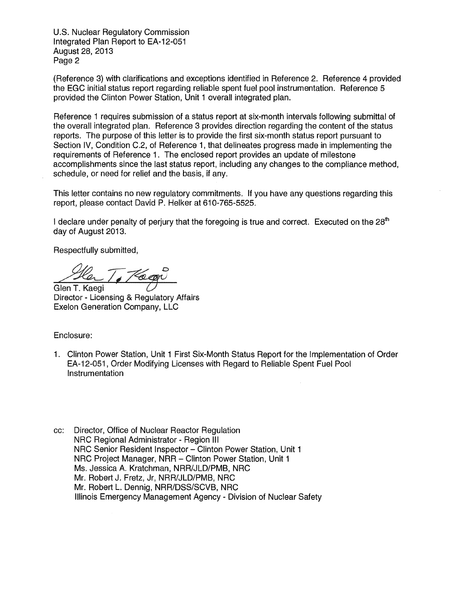U.S. Nuclear Regulatory Commission Integrated Plan Report to EA-12-051 August 28,2013 Page 2

(Reference 3) with clarifications and exceptions identified in Reference 2. Reference 4 provided the EGC initial status report regarding reliable spent fuel pool instrumentation. Reference 5 provided the Clinton Power Station, Unit 1 overall integrated plan.

Reference 1 requires submission of a status report at six-month intervals following submittal of the overall integrated plan. Reference 3 provides direction regarding the content of the status reports. The purpose of this letter is to provide the first six-month status report pursuant to Section IV, Condition C.2, of Reference 1, that delineates progress made in implementing the requirements of Reference 1. The enclosed report provides an update of milestone accomplishments since the last status report, including any changes to the compliance method, schedule, or need for relief and the basis, if any.

This letter contains no new regulatory commitments. If you have any questions regarding this report, please contact David P. Helker at 610-765-5525.

I declare under penalty of perjury that the foregoing is true and correct. Executed on the  $28<sup>th</sup>$ day of August 2013.

Respectfully submitted,

Hen T. *Hago* 

Director - Licensing & Regulatory Affairs Exelon Generation Company, LLC

Enclosure:

- 1. Clinton Power Station, Unit 1 First Six-Month Status Report for the Implementation of Order EA-12-051 , Order Modifying Licenses with Regard to Reliable Spent Fuel Pool Instrumentation
- cc: Director, Office of Nuclear Reactor Regulation NRC Regional Administrator - Region III NRC Senior Resident Inspector - Clinton Power Station, Unit 1 NRC Project Manager, NRR - Clinton Power Station, Unit 1 Ms. Jessica A. Kratchman, NRR/JLD/PMB, NRC Mr. Robert J. Fretz, Jr, NRR/JLD/PMB, NRC Mr. Robert L. Dennig, NRR/DSS/SCVB, NRC Illinois Emergency Management Agency - Division of Nuclear Safety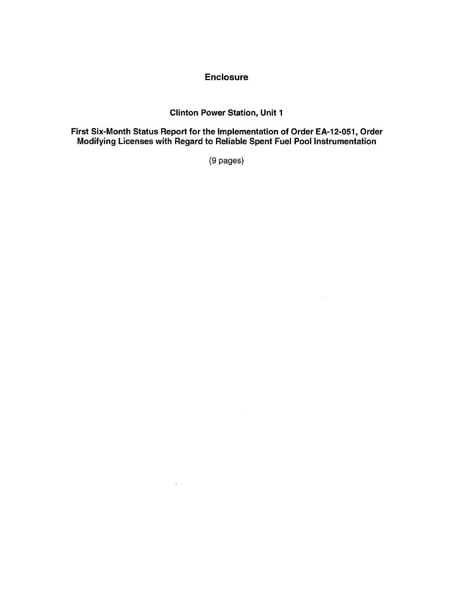#### **Enclosure**

# Clinton Power Station, Unit 1

First Six-Month Status Report for the Implementation of Order EA-12-0S1, Order Modifying licenses with Regard to Reliable Spent Fuel Pool Instrumentation

(9 pages)

 $\mathcal{L}_{\mathcal{A}}$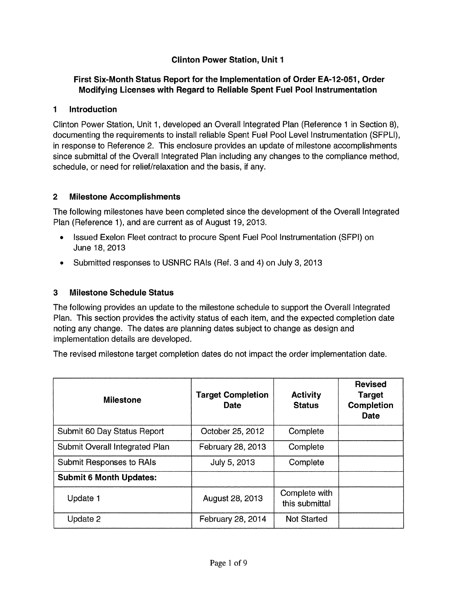# **Clinton Power Station, Unit 1**

# **First Six-Month Status Report for the Implementation of Order EA-12-0S1, Order Modifying Licenses with Regard to Reliable Spent Fuel Pool Instrumentation**

#### **1 Introduction**

Clinton Power Station, Unit 1, developed an Overall Integrated Plan (Reference 1 in Section 8), documenting the requirements to install reliable Spent Fuel Pool Level Instrumentation (SFPLI), in response to Reference 2. This enclosure provides an update of milestone accomplishments since submittal of the Overall Integrated Plan including any changes to the compliance method, schedule, or need for relief/relaxation and the basis, if any.

#### **2 Milestone Accomplishments**

The following milestones have been completed since the development of the Overall Integrated Plan (Reference 1), and are current as of August 19, 2013.

- Issued Exelon Fleet contract to procure Spent Fuel Pool Instrumentation (SFPI) on June 18, 2013
- Submitted responses to USNRC RAIs (Ref. 3 and 4) on July 3, 2013

## 3 **Milestone Schedule Status**

The following provides an update to the milestone schedule to support the Overall Integrated Plan. This section provides the activity status of each item, and the expected completion date noting any change. The dates are planning dates subject to change as design and implementation details are developed.

The revised milestone target completion dates do not impact the order implementation date.

| <b>Milestone</b>               | <b>Target Completion</b><br>Date | <b>Activity</b><br><b>Status</b> | <b>Revised</b><br><b>Target</b><br><b>Completion</b><br>Date |
|--------------------------------|----------------------------------|----------------------------------|--------------------------------------------------------------|
| Submit 60 Day Status Report    | October 25, 2012                 | Complete                         |                                                              |
| Submit Overall Integrated Plan | February 28, 2013                | Complete                         |                                                              |
| Submit Responses to RAIs       | July 5, 2013                     | Complete                         |                                                              |
| <b>Submit 6 Month Updates:</b> |                                  |                                  |                                                              |
| Update 1                       | August 28, 2013                  | Complete with<br>this submittal  |                                                              |
| Update 2                       | February 28, 2014                | <b>Not Started</b>               |                                                              |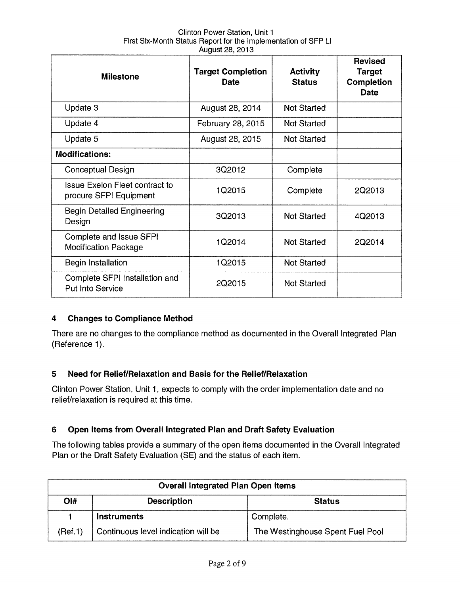| Clinton Power Station, Unit 1                                  |  |
|----------------------------------------------------------------|--|
| First Six-Month Status Report for the Implementation of SFP LI |  |
| August 28, 2013                                                |  |

| <b>Milestone</b>                                                | <b>Target Completion</b><br><b>Date</b> | <b>Activity</b><br><b>Status</b> | <b>Revised</b><br><b>Target</b><br>Completion<br><b>Date</b> |
|-----------------------------------------------------------------|-----------------------------------------|----------------------------------|--------------------------------------------------------------|
| Update 3                                                        | August 28, 2014                         | Not Started                      |                                                              |
| Update 4                                                        | February 28, 2015                       | <b>Not Started</b>               |                                                              |
| Update 5                                                        | August 28, 2015                         | Not Started                      |                                                              |
| <b>Modifications:</b>                                           |                                         |                                  |                                                              |
| Conceptual Design                                               | 3Q2012                                  | Complete                         |                                                              |
| <b>Issue Exelon Fleet contract to</b><br>procure SFPI Equipment | 1Q2015                                  | Complete                         | 2Q2013                                                       |
| <b>Begin Detailed Engineering</b><br>Design                     | 3Q2013                                  | <b>Not Started</b>               | 4Q2013                                                       |
| Complete and Issue SFPI<br><b>Modification Package</b>          | 1Q2014                                  | <b>Not Started</b>               | 2Q2014                                                       |
| <b>Begin Installation</b>                                       | 1Q2015                                  | <b>Not Started</b>               |                                                              |
| Complete SFPI Installation and<br><b>Put Into Service</b>       | 2Q2015                                  | <b>Not Started</b>               |                                                              |

## **4 Changes to Compliance Method**

There are no changes to the compliance method as documented in the Overall Integrated Plan (Reference 1).

## **5 Need for Relief/Relaxation and Basis for the Relief/Relaxation**

Clinton Power Station, Unit 1, expects to comply with the order implementation date and no relief/relaxation is required at this time.

## **6 Open Items from** Overall Integrated **Plan and Draft Safety Evaluation**

The following tables provide a summary of the open items documented in the Overall Integrated Plan or the Draft Safety Evaluation (SE) and the status of each item.

| <b>Overall Integrated Plan Open Items</b>  |                                     |                                  |
|--------------------------------------------|-------------------------------------|----------------------------------|
| Ol#<br><b>Description</b><br><b>Status</b> |                                     |                                  |
|                                            | <b>Instruments</b>                  | Complete.                        |
| (Ref.1)                                    | Continuous level indication will be | The Westinghouse Spent Fuel Pool |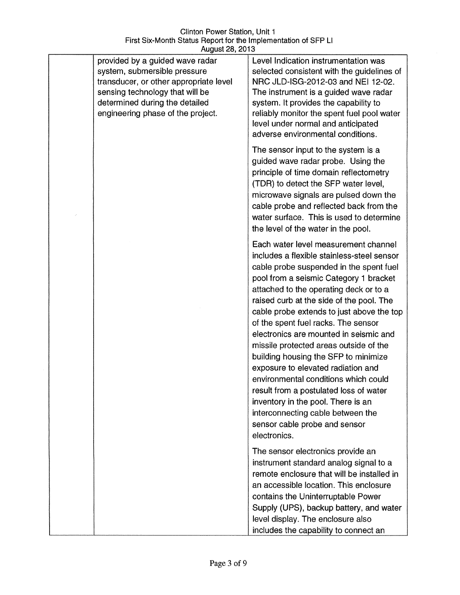| provided by a guided wave radar<br>system, submersible pressure<br>transducer, or other appropriate level<br>sensing technology that will be<br>determined during the detailed<br>engineering phase of the project. | Level Indication instrumentation was<br>selected consistent with the guidelines of<br>NRC JLD-ISG-2012-03 and NEI 12-02.<br>The instrument is a guided wave radar<br>system. It provides the capability to<br>reliably monitor the spent fuel pool water<br>level under normal and anticipated<br>adverse environmental conditions.                                                                                                                                                                                                                                                                                                                                                                                               |
|---------------------------------------------------------------------------------------------------------------------------------------------------------------------------------------------------------------------|-----------------------------------------------------------------------------------------------------------------------------------------------------------------------------------------------------------------------------------------------------------------------------------------------------------------------------------------------------------------------------------------------------------------------------------------------------------------------------------------------------------------------------------------------------------------------------------------------------------------------------------------------------------------------------------------------------------------------------------|
|                                                                                                                                                                                                                     | The sensor input to the system is a<br>guided wave radar probe. Using the<br>principle of time domain reflectometry<br>(TDR) to detect the SFP water level,<br>microwave signals are pulsed down the<br>cable probe and reflected back from the<br>water surface. This is used to determine<br>the level of the water in the pool.                                                                                                                                                                                                                                                                                                                                                                                                |
|                                                                                                                                                                                                                     | Each water level measurement channel<br>includes a flexible stainless-steel sensor<br>cable probe suspended in the spent fuel<br>pool from a seismic Category 1 bracket<br>attached to the operating deck or to a<br>raised curb at the side of the pool. The<br>cable probe extends to just above the top<br>of the spent fuel racks. The sensor<br>electronics are mounted in seismic and<br>missile protected areas outside of the<br>building housing the SFP to minimize<br>exposure to elevated radiation and<br>environmental conditions which could<br>result from a postulated loss of water<br>inventory in the pool. There is an<br>interconnecting cable between the<br>sensor cable probe and sensor<br>electronics. |
|                                                                                                                                                                                                                     | The sensor electronics provide an<br>instrument standard analog signal to a<br>remote enclosure that will be installed in<br>an accessible location. This enclosure<br>contains the Uninterruptable Power<br>Supply (UPS), backup battery, and water<br>level display. The enclosure also<br>includes the capability to connect an                                                                                                                                                                                                                                                                                                                                                                                                |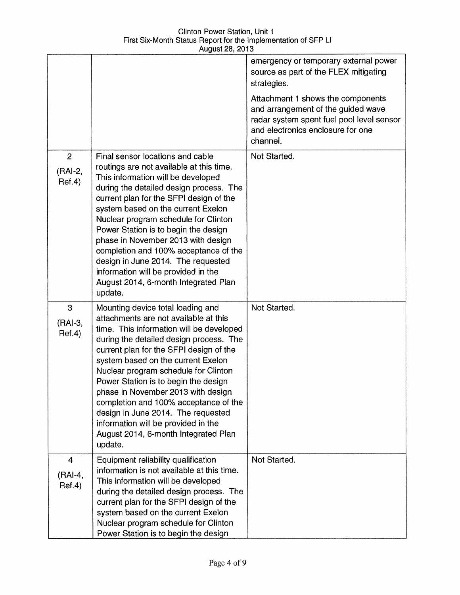|                                     |                                                                                                                                                                                                                                                                                                                                                                                                                                                                                                                                                   | emergency or temporary external power<br>source as part of the FLEX mitigating<br>strategies.<br>Attachment 1 shows the components |
|-------------------------------------|---------------------------------------------------------------------------------------------------------------------------------------------------------------------------------------------------------------------------------------------------------------------------------------------------------------------------------------------------------------------------------------------------------------------------------------------------------------------------------------------------------------------------------------------------|------------------------------------------------------------------------------------------------------------------------------------|
|                                     |                                                                                                                                                                                                                                                                                                                                                                                                                                                                                                                                                   | and arrangement of the guided wave<br>radar system spent fuel pool level sensor<br>and electronics enclosure for one<br>channel.   |
| $\overline{2}$<br>(RAI-2,<br>Ref.4) | Final sensor locations and cable<br>routings are not available at this time.<br>This information will be developed<br>during the detailed design process. The<br>current plan for the SFPI design of the<br>system based on the current Exelon<br>Nuclear program schedule for Clinton<br>Power Station is to begin the design<br>phase in November 2013 with design<br>completion and 100% acceptance of the<br>design in June 2014. The requested<br>information will be provided in the<br>August 2014, 6-month Integrated Plan<br>update.     | Not Started.                                                                                                                       |
| 3<br>(RAI-3,<br>Ref.4)              | Mounting device total loading and<br>attachments are not available at this<br>time. This information will be developed<br>during the detailed design process. The<br>current plan for the SFPI design of the<br>system based on the current Exelon<br>Nuclear program schedule for Clinton<br>Power Station is to begin the design<br>phase in November 2013 with design<br>completion and 100% acceptance of the<br>design in June 2014. The requested<br>information will be provided in the<br>August 2014, 6-month Integrated Plan<br>update. | Not Started.                                                                                                                       |
| $\overline{4}$<br>(RAI-4,<br>Ref.4) | Equipment reliability qualification<br>information is not available at this time.<br>This information will be developed<br>during the detailed design process. The<br>current plan for the SFPI design of the<br>system based on the current Exelon<br>Nuclear program schedule for Clinton<br>Power Station is to begin the design                                                                                                                                                                                                               | Not Started.                                                                                                                       |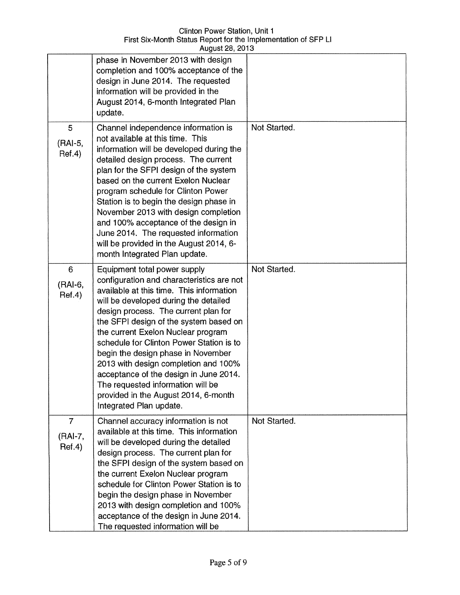|                                     | phase in November 2013 with design<br>completion and 100% acceptance of the<br>design in June 2014. The requested<br>information will be provided in the<br>August 2014, 6-month Integrated Plan<br>update.                                                                                                                                                                                                                                                                                                                                                        |              |
|-------------------------------------|--------------------------------------------------------------------------------------------------------------------------------------------------------------------------------------------------------------------------------------------------------------------------------------------------------------------------------------------------------------------------------------------------------------------------------------------------------------------------------------------------------------------------------------------------------------------|--------------|
| 5<br>(RAI-5,<br>Ref.4)              | Channel independence information is<br>not available at this time. This<br>information will be developed during the<br>detailed design process. The current<br>plan for the SFPI design of the system<br>based on the current Exelon Nuclear<br>program schedule for Clinton Power<br>Station is to begin the design phase in<br>November 2013 with design completion<br>and 100% acceptance of the design in<br>June 2014. The requested information<br>will be provided in the August 2014, 6-<br>month Integrated Plan update.                                  | Not Started. |
| 6<br>(RAI-6,<br>Ref.4)              | Equipment total power supply<br>configuration and characteristics are not<br>available at this time. This information<br>will be developed during the detailed<br>design process. The current plan for<br>the SFPI design of the system based on<br>the current Exelon Nuclear program<br>schedule for Clinton Power Station is to<br>begin the design phase in November<br>2013 with design completion and 100%<br>acceptance of the design in June 2014.<br>The requested information will be<br>provided in the August 2014, 6-month<br>Integrated Plan update. | Not Started. |
| $\overline{7}$<br>(RAI-7,<br>Ref.4) | Channel accuracy information is not<br>available at this time. This information<br>will be developed during the detailed<br>design process. The current plan for<br>the SFPI design of the system based on<br>the current Exelon Nuclear program<br>schedule for Clinton Power Station is to<br>begin the design phase in November<br>2013 with design completion and 100%<br>acceptance of the design in June 2014.<br>The requested information will be                                                                                                          | Not Started. |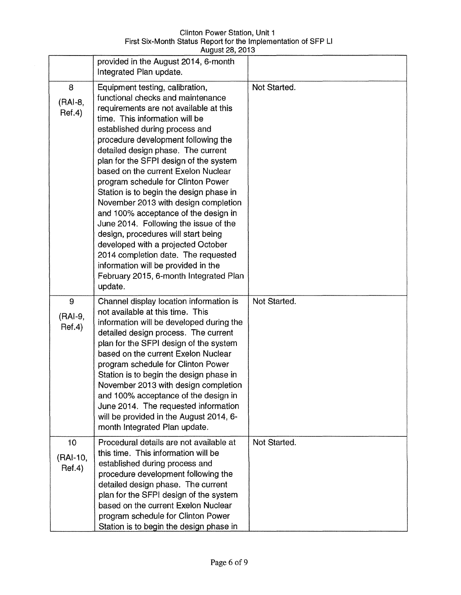| <b>Clinton Power Station, Unit 1</b>                           |  |
|----------------------------------------------------------------|--|
| First Six-Month Status Report for the Implementation of SFP LI |  |
| August 28, 2013                                                |  |

|                          | provided in the August 2014, 6-month<br>Integrated Plan update.                                                                                                                                                                                                                                                                                                                                                                                                                                                                                                                                                                                                                                                                                                            |              |
|--------------------------|----------------------------------------------------------------------------------------------------------------------------------------------------------------------------------------------------------------------------------------------------------------------------------------------------------------------------------------------------------------------------------------------------------------------------------------------------------------------------------------------------------------------------------------------------------------------------------------------------------------------------------------------------------------------------------------------------------------------------------------------------------------------------|--------------|
| 8<br>(RAI-8,<br>Ref.4)   | Equipment testing, calibration,<br>functional checks and maintenance<br>requirements are not available at this<br>time. This information will be<br>established during process and<br>procedure development following the<br>detailed design phase. The current<br>plan for the SFPI design of the system<br>based on the current Exelon Nuclear<br>program schedule for Clinton Power<br>Station is to begin the design phase in<br>November 2013 with design completion<br>and 100% acceptance of the design in<br>June 2014. Following the issue of the<br>design, procedures will start being<br>developed with a projected October<br>2014 completion date. The requested<br>information will be provided in the<br>February 2015, 6-month Integrated Plan<br>update. | Not Started. |
| 9<br>(RAI-9,<br>Ref.4)   | Channel display location information is<br>not available at this time. This<br>information will be developed during the<br>detailed design process. The current<br>plan for the SFPI design of the system<br>based on the current Exelon Nuclear<br>program schedule for Clinton Power<br>Station is to begin the design phase in<br>November 2013 with design completion<br>and 100% acceptance of the design in<br>June 2014. The requested information<br>will be provided in the August 2014, 6-<br>month Integrated Plan update.                                                                                                                                                                                                                                      | Not Started. |
| 10<br>(RAI-10,<br>Ref.4) | Procedural details are not available at<br>this time. This information will be<br>established during process and<br>procedure development following the<br>detailed design phase. The current<br>plan for the SFPI design of the system<br>based on the current Exelon Nuclear<br>program schedule for Clinton Power<br>Station is to begin the design phase in                                                                                                                                                                                                                                                                                                                                                                                                            | Not Started. |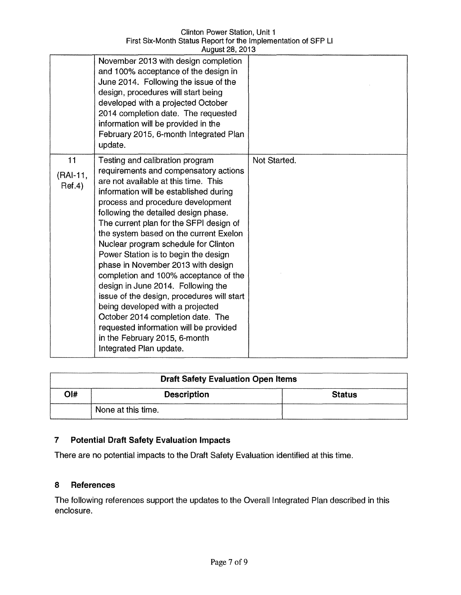|                            | riuguoi 20, 2010                                                                                                                                                                                                                                                                                                                                                                                                                                                                                                                                                                                                                                                                                                                                               |              |
|----------------------------|----------------------------------------------------------------------------------------------------------------------------------------------------------------------------------------------------------------------------------------------------------------------------------------------------------------------------------------------------------------------------------------------------------------------------------------------------------------------------------------------------------------------------------------------------------------------------------------------------------------------------------------------------------------------------------------------------------------------------------------------------------------|--------------|
|                            | November 2013 with design completion<br>and 100% acceptance of the design in<br>June 2014. Following the issue of the<br>design, procedures will start being<br>developed with a projected October<br>2014 completion date. The requested<br>information will be provided in the<br>February 2015, 6-month Integrated Plan<br>update.                                                                                                                                                                                                                                                                                                                                                                                                                          |              |
| 11<br>$(RAI-11,$<br>Ref.4) | Testing and calibration program<br>requirements and compensatory actions<br>are not available at this time. This<br>information will be established during<br>process and procedure development<br>following the detailed design phase.<br>The current plan for the SFPI design of<br>the system based on the current Exelon<br>Nuclear program schedule for Clinton<br>Power Station is to begin the design<br>phase in November 2013 with design<br>completion and 100% acceptance of the<br>design in June 2014. Following the<br>issue of the design, procedures will start<br>being developed with a projected<br>October 2014 completion date. The<br>requested information will be provided<br>in the February 2015, 6-month<br>Integrated Plan update. | Not Started. |

| <b>Draft Safety Evaluation Open Items</b> |                    |               |
|-------------------------------------------|--------------------|---------------|
| $O$  #                                    | <b>Description</b> | <b>Status</b> |
|                                           | None at this time. |               |

# **7 Potential Draft Safety Evaluation Impacts**

There are no potential impacts to the Draft Safety Evaluation identified at this time.

#### **8 References**

The following references support the updates to the Overall Integrated Plan described in this enclosure.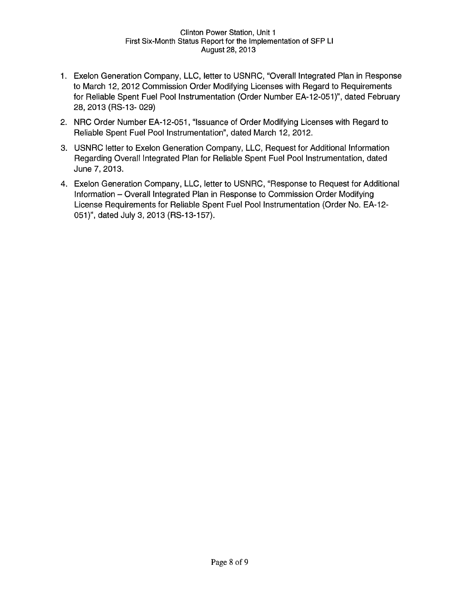- 1. Exelon Generation Company, LLC, letter to USNRC, "Overall Integrated Plan in Response to March 12, 2012 Commission Order Modifying Licenses with Regard to Requirements for Reliable Spent Fuel Pool Instrumentation (Order Number EA-12-051)", dated February 28,2013 (RS-13- 029)
- 2. NRC Order Number EA-12-051, "Issuance of Order Modifying Licenses with Regard to Reliable Spent Fuel Pool Instrumentation", dated March 12,2012.
- 3. USNRC letter to Exelon Generation Company, LLC, Request for Additional Information Regarding Overall Integrated Plan for Reliable Spent Fuel Pool Instrumentation, dated June 7, 2013.
- 4. Exelon Generation Company, LLC, letter to USNRC, "Response to Request for Additional Information - Overall Integrated Plan in Response to Commission Order Modifying License Requirements for Reliable Spent Fuel Pool Instrumentation (Order No. EA-12- 051)", dated July 3,2013 (RS-13-157).